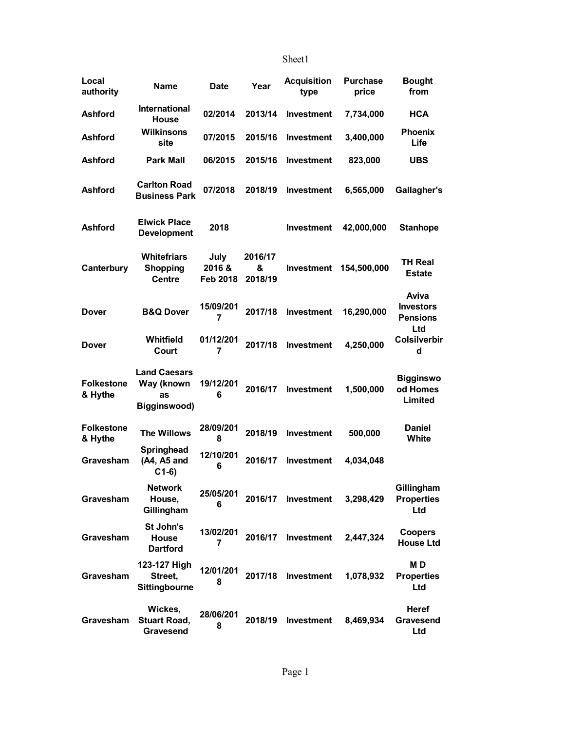## Sheet1

| Local<br>authority           | <b>Name</b>                                             | Date                      | Year                    | <b>Acquisition</b><br>type | <b>Purchase</b><br>price | <b>Bought</b><br>from                               |
|------------------------------|---------------------------------------------------------|---------------------------|-------------------------|----------------------------|--------------------------|-----------------------------------------------------|
| <b>Ashford</b>               | International<br><b>House</b>                           | 02/2014                   | 2013/14                 | <b>Investment</b>          | 7,734,000                | <b>HCA</b>                                          |
| <b>Ashford</b>               | <b>Wilkinsons</b><br>site                               | 07/2015                   | 2015/16                 | <b>Investment</b>          | 3,400,000                | <b>Phoenix</b><br>Life                              |
| <b>Ashford</b>               | <b>Park Mall</b>                                        | 06/2015                   | 2015/16                 | <b>Investment</b>          | 823,000                  | <b>UBS</b>                                          |
| <b>Ashford</b>               | <b>Carlton Road</b><br><b>Business Park</b>             | 07/2018                   | 2018/19                 | Investment                 | 6,565,000                | Gallagher's                                         |
| <b>Ashford</b>               | <b>Elwick Place</b><br><b>Development</b>               | 2018                      |                         | <b>Investment</b>          | 42,000,000               | <b>Stanhope</b>                                     |
| Canterbury                   | <b>Whitefriars</b><br><b>Shopping</b><br><b>Centre</b>  | July<br>2016&<br>Feb 2018 | 2016/17<br>&<br>2018/19 | <b>Investment</b>          | 154,500,000              | <b>TH Real</b><br><b>Estate</b>                     |
| <b>Dover</b>                 | <b>B&amp;Q Dover</b>                                    | 15/09/201<br>7            | 2017/18                 | Investment                 | 16,290,000               | Aviva<br><b>Investors</b><br><b>Pensions</b><br>Ltd |
| <b>Dover</b>                 | Whitfield<br>Court                                      | 01/12/201<br>7            | 2017/18                 | Investment                 | 4,250,000                | <b>Colsilverbir</b><br>d                            |
| <b>Folkestone</b><br>& Hythe | <b>Land Caesars</b><br>Way (known<br>as<br>Bigginswood) | 19/12/201<br>6            | 2016/17                 | Investment                 | 1,500,000                | <b>Bigginswo</b><br>od Homes<br>Limited             |
| <b>Folkestone</b><br>& Hythe | <b>The Willows</b>                                      | 28/09/201<br>8            | 2018/19                 | <b>Investment</b>          | 500,000                  | <b>Daniel</b><br>White                              |
| Gravesham                    | Springhead<br>(A4, A5 and<br>$C1-6)$                    | 12/10/201<br>6            | 2016/17                 | <b>Investment</b>          | 4,034,048                |                                                     |
| Gravesham                    | <b>Network</b><br>House,<br>Gillingham                  | 25/05/201<br>6            | 2016/17                 | Investment                 | 3,298,429                | Gillingham<br><b>Properties</b><br>Ltd              |
| Gravesham                    | St John's<br>House<br><b>Dartford</b>                   | 13/02/201<br>7            | 2016/17                 | Investment                 | 2,447,324                | <b>Coopers</b><br><b>House Ltd</b>                  |
| Gravesham                    | 123-127 High<br>Street,<br>Sittingbourne                | 12/01/201<br>8            | 2017/18                 | Investment                 | 1,078,932                | MD<br><b>Properties</b><br>Ltd                      |
| Gravesham                    | Wickes,<br><b>Stuart Road,</b><br>Gravesend             | 28/06/201<br>8            | 2018/19                 | Investment                 | 8,469,934                | <b>Heref</b><br>Gravesend<br>Ltd                    |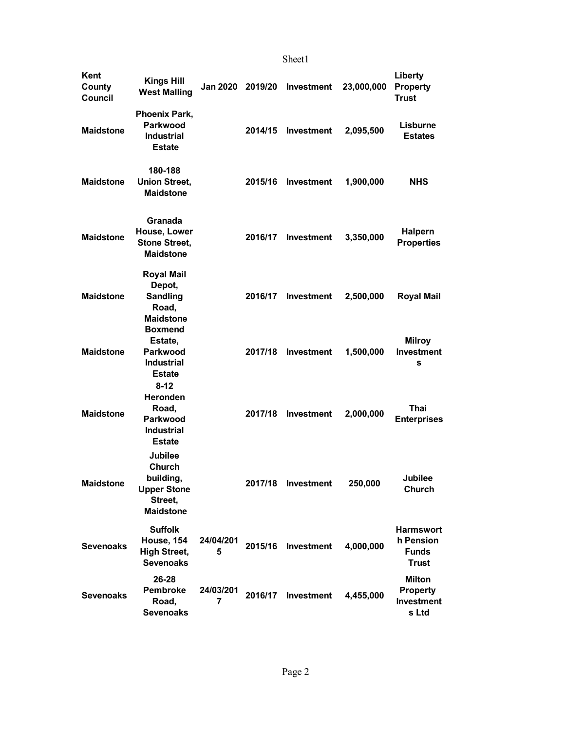Sheet1

| Kent<br>County<br>Council | <b>Kings Hill</b><br><b>West Malling</b>                                                      | <b>Jan 2020</b> | 2019/20 | Investment         | 23,000,000 | Liberty<br><b>Property</b><br><b>Trust</b>                    |
|---------------------------|-----------------------------------------------------------------------------------------------|-----------------|---------|--------------------|------------|---------------------------------------------------------------|
| <b>Maidstone</b>          | <b>Phoenix Park,</b><br>Parkwood<br><b>Industrial</b><br><b>Estate</b>                        |                 | 2014/15 | Investment         | 2,095,500  | Lisburne<br><b>Estates</b>                                    |
| <b>Maidstone</b>          | 180-188<br><b>Union Street,</b><br><b>Maidstone</b>                                           |                 | 2015/16 | <b>Investment</b>  | 1,900,000  | <b>NHS</b>                                                    |
| <b>Maidstone</b>          | Granada<br>House, Lower<br><b>Stone Street,</b><br><b>Maidstone</b>                           |                 | 2016/17 | <b>Investment</b>  | 3,350,000  | <b>Halpern</b><br><b>Properties</b>                           |
| <b>Maidstone</b>          | <b>Royal Mail</b><br>Depot,<br><b>Sandling</b><br>Road,<br><b>Maidstone</b>                   |                 | 2016/17 | <b>Investment</b>  | 2,500,000  | <b>Royal Mail</b>                                             |
| <b>Maidstone</b>          | <b>Boxmend</b><br>Estate,<br>Parkwood<br><b>Industrial</b><br><b>Estate</b>                   |                 | 2017/18 | <b>Investment</b>  | 1,500,000  | <b>Milroy</b><br>Investment<br>s                              |
| <b>Maidstone</b>          | $8 - 12$<br><b>Heronden</b><br>Road,<br><b>Parkwood</b><br><b>Industrial</b><br><b>Estate</b> |                 | 2017/18 | Investment         | 2,000,000  | Thai<br><b>Enterprises</b>                                    |
| <b>Maidstone</b>          | <b>Jubilee</b><br>Church<br>building,<br><b>Upper Stone</b><br>Street,<br><b>Maidstone</b>    |                 |         | 2017/18 Investment | 250,000    | <b>Jubilee</b><br>Church                                      |
| <b>Sevenoaks</b>          | <b>Suffolk</b><br>House, 154<br><b>High Street,</b><br><b>Sevenoaks</b>                       | 24/04/201<br>5  | 2015/16 | Investment         | 4,000,000  | <b>Harmswort</b><br>h Pension<br><b>Funds</b><br><b>Trust</b> |
| <b>Sevenoaks</b>          | 26-28<br><b>Pembroke</b><br>Road,<br><b>Sevenoaks</b>                                         | 24/03/201<br>7  | 2016/17 | Investment         | 4,455,000  | <b>Milton</b><br><b>Property</b><br>Investment<br>s Ltd       |